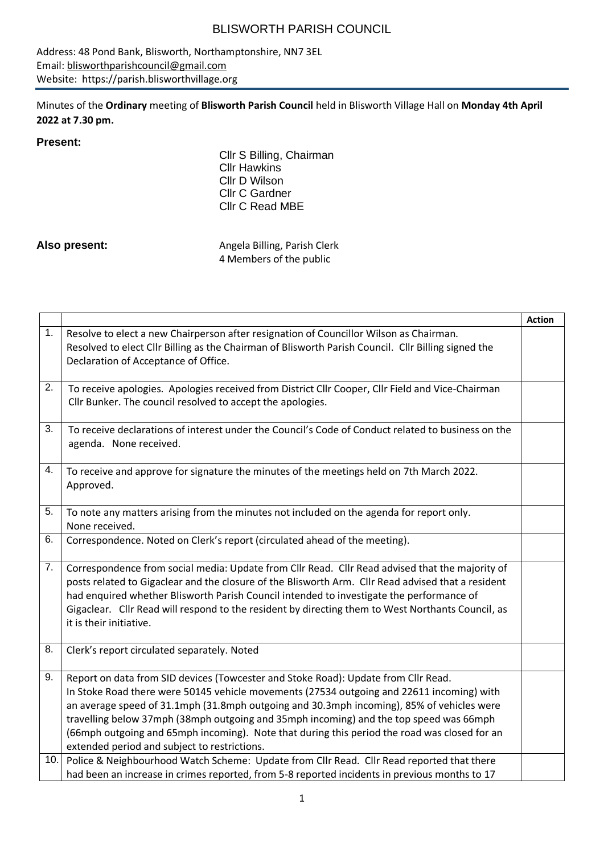Address: 48 Pond Bank, Blisworth, Northamptonshire, NN7 3EL Email: [blisworthparishcouncil@gmail.com](mailto:blisworthparishcouncil@gmail.com) Website: https://parish.blisworthvillage.org

Minutes of the **Ordinary** meeting of **Blisworth Parish Council** held in Blisworth Village Hall on **Monday 4th April 2022 at 7.30 pm.**

#### **Present:**

Cllr S Billing, Chairman Cllr Hawkins Cllr D Wilson Cllr C Gardner Cllr C Read MBE

Also present: Also present: Angela Billing, Parish Clerk 4 Members of the public

|     |                                                                                                                                                                                                                                                                                                                                                                                                                                                                                                                        | <b>Action</b> |
|-----|------------------------------------------------------------------------------------------------------------------------------------------------------------------------------------------------------------------------------------------------------------------------------------------------------------------------------------------------------------------------------------------------------------------------------------------------------------------------------------------------------------------------|---------------|
| 1.  | Resolve to elect a new Chairperson after resignation of Councillor Wilson as Chairman.<br>Resolved to elect Cllr Billing as the Chairman of Blisworth Parish Council. Cllr Billing signed the<br>Declaration of Acceptance of Office.                                                                                                                                                                                                                                                                                  |               |
| 2.  | To receive apologies. Apologies received from District Cllr Cooper, Cllr Field and Vice-Chairman<br>Cllr Bunker. The council resolved to accept the apologies.                                                                                                                                                                                                                                                                                                                                                         |               |
| 3.  | To receive declarations of interest under the Council's Code of Conduct related to business on the<br>agenda. None received.                                                                                                                                                                                                                                                                                                                                                                                           |               |
| 4.  | To receive and approve for signature the minutes of the meetings held on 7th March 2022.<br>Approved.                                                                                                                                                                                                                                                                                                                                                                                                                  |               |
| 5.  | To note any matters arising from the minutes not included on the agenda for report only.<br>None received.                                                                                                                                                                                                                                                                                                                                                                                                             |               |
| 6.  | Correspondence. Noted on Clerk's report (circulated ahead of the meeting).                                                                                                                                                                                                                                                                                                                                                                                                                                             |               |
| 7.  | Correspondence from social media: Update from Cllr Read. Cllr Read advised that the majority of<br>posts related to Gigaclear and the closure of the Blisworth Arm. Cllr Read advised that a resident<br>had enquired whether Blisworth Parish Council intended to investigate the performance of<br>Gigaclear. Cllr Read will respond to the resident by directing them to West Northants Council, as<br>it is their initiative.                                                                                      |               |
| 8.  | Clerk's report circulated separately. Noted                                                                                                                                                                                                                                                                                                                                                                                                                                                                            |               |
| 9.  | Report on data from SID devices (Towcester and Stoke Road): Update from Cllr Read.<br>In Stoke Road there were 50145 vehicle movements (27534 outgoing and 22611 incoming) with<br>an average speed of 31.1mph (31.8mph outgoing and 30.3mph incoming), 85% of vehicles were<br>travelling below 37mph (38mph outgoing and 35mph incoming) and the top speed was 66mph<br>(66mph outgoing and 65mph incoming). Note that during this period the road was closed for an<br>extended period and subject to restrictions. |               |
| 10. | Police & Neighbourhood Watch Scheme: Update from Cllr Read. Cllr Read reported that there<br>had been an increase in crimes reported, from 5-8 reported incidents in previous months to 17                                                                                                                                                                                                                                                                                                                             |               |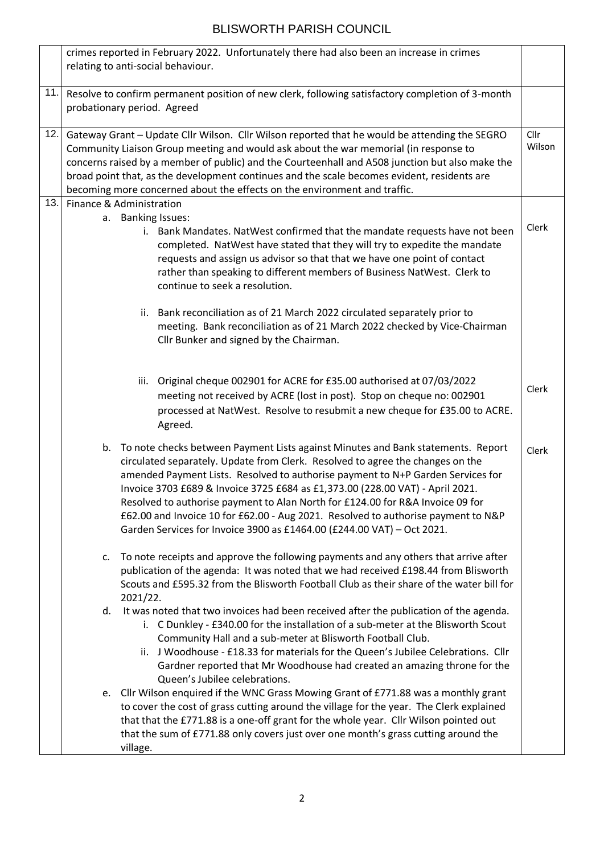|     | crimes reported in February 2022. Unfortunately there had also been an increase in crimes<br>relating to anti-social behaviour.                                                                                                                                                                                                                                                                                                                                                                                                                                                            |                |
|-----|--------------------------------------------------------------------------------------------------------------------------------------------------------------------------------------------------------------------------------------------------------------------------------------------------------------------------------------------------------------------------------------------------------------------------------------------------------------------------------------------------------------------------------------------------------------------------------------------|----------------|
| 11. | Resolve to confirm permanent position of new clerk, following satisfactory completion of 3-month<br>probationary period. Agreed                                                                                                                                                                                                                                                                                                                                                                                                                                                            |                |
| 12. | Gateway Grant - Update Cllr Wilson. Cllr Wilson reported that he would be attending the SEGRO<br>Community Liaison Group meeting and would ask about the war memorial (in response to<br>concerns raised by a member of public) and the Courteenhall and A508 junction but also make the<br>broad point that, as the development continues and the scale becomes evident, residents are<br>becoming more concerned about the effects on the environment and traffic.                                                                                                                       | Cllr<br>Wilson |
| 13. | Finance & Administration                                                                                                                                                                                                                                                                                                                                                                                                                                                                                                                                                                   |                |
|     | a. Banking Issues:<br>i. Bank Mandates. NatWest confirmed that the mandate requests have not been<br>completed. NatWest have stated that they will try to expedite the mandate<br>requests and assign us advisor so that that we have one point of contact<br>rather than speaking to different members of Business NatWest. Clerk to<br>continue to seek a resolution.                                                                                                                                                                                                                    | Clerk          |
|     | Bank reconciliation as of 21 March 2022 circulated separately prior to<br>ii.<br>meeting. Bank reconciliation as of 21 March 2022 checked by Vice-Chairman<br>Cllr Bunker and signed by the Chairman.                                                                                                                                                                                                                                                                                                                                                                                      |                |
|     | Original cheque 002901 for ACRE for £35.00 authorised at 07/03/2022<br>iii.<br>meeting not received by ACRE (lost in post). Stop on cheque no: 002901<br>processed at NatWest. Resolve to resubmit a new cheque for £35.00 to ACRE.<br>Agreed.                                                                                                                                                                                                                                                                                                                                             | Clerk          |
|     | b. To note checks between Payment Lists against Minutes and Bank statements. Report<br>circulated separately. Update from Clerk. Resolved to agree the changes on the<br>amended Payment Lists. Resolved to authorise payment to N+P Garden Services for<br>Invoice 3703 £689 & Invoice 3725 £684 as £1,373.00 (228.00 VAT) - April 2021.<br>Resolved to authorise payment to Alan North for £124.00 for R&A Invoice 09 for<br>£62.00 and Invoice 10 for £62.00 - Aug 2021. Resolved to authorise payment to N&P<br>Garden Services for Invoice 3900 as £1464.00 (£244.00 VAT) - Oct 2021. | Clerk          |
|     | To note receipts and approve the following payments and any others that arrive after<br>c.<br>publication of the agenda: It was noted that we had received £198.44 from Blisworth<br>Scouts and £595.32 from the Blisworth Football Club as their share of the water bill for<br>2021/22.                                                                                                                                                                                                                                                                                                  |                |
|     | It was noted that two invoices had been received after the publication of the agenda.<br>d.<br>i. C Dunkley - £340.00 for the installation of a sub-meter at the Blisworth Scout<br>Community Hall and a sub-meter at Blisworth Football Club.<br>ii. J Woodhouse - £18.33 for materials for the Queen's Jubilee Celebrations. Cllr<br>Gardner reported that Mr Woodhouse had created an amazing throne for the<br>Queen's Jubilee celebrations.                                                                                                                                           |                |
|     | e. Cllr Wilson enquired if the WNC Grass Mowing Grant of £771.88 was a monthly grant<br>to cover the cost of grass cutting around the village for the year. The Clerk explained<br>that that the £771.88 is a one-off grant for the whole year. Cllr Wilson pointed out<br>that the sum of £771.88 only covers just over one month's grass cutting around the<br>village.                                                                                                                                                                                                                  |                |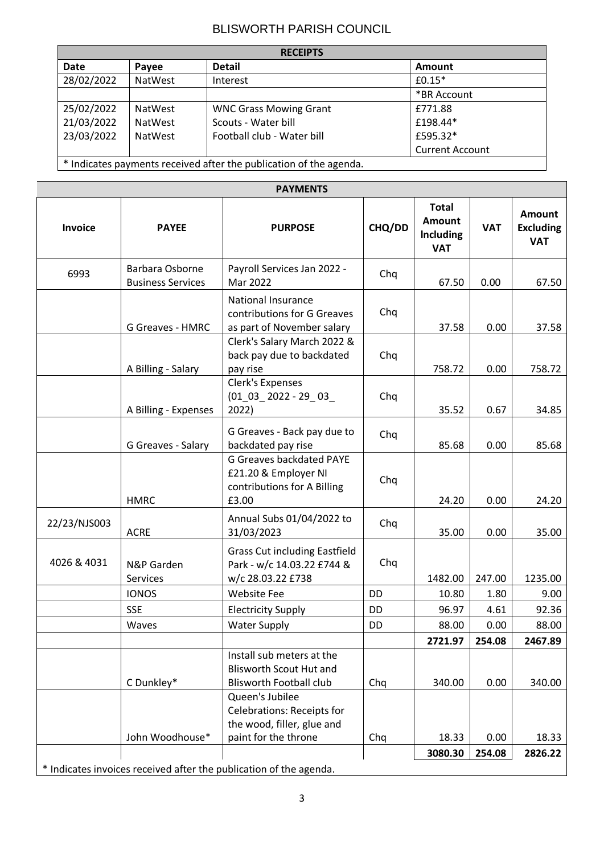| <b>RECEIPTS</b>                                                    |                |                               |                        |  |  |
|--------------------------------------------------------------------|----------------|-------------------------------|------------------------|--|--|
| Date                                                               | Payee          | <b>Detail</b>                 | <b>Amount</b>          |  |  |
| 28/02/2022                                                         | <b>NatWest</b> | Interest                      | $£0.15*$               |  |  |
|                                                                    |                |                               | *BR Account            |  |  |
| 25/02/2022                                                         | <b>NatWest</b> | <b>WNC Grass Mowing Grant</b> | £771.88                |  |  |
| 21/03/2022                                                         | <b>NatWest</b> | Scouts - Water bill           | £198.44*               |  |  |
| 23/03/2022                                                         | <b>NatWest</b> | Football club - Water bill    | £595.32*               |  |  |
|                                                                    |                |                               | <b>Current Account</b> |  |  |
| * Indicates payments received after the publication of the agenda. |                |                               |                        |  |  |

| <b>PAYMENTS</b> |                                             |                                                                                                                  |        |                                                          |            |                                                 |
|-----------------|---------------------------------------------|------------------------------------------------------------------------------------------------------------------|--------|----------------------------------------------------------|------------|-------------------------------------------------|
| Invoice         | <b>PAYEE</b>                                | <b>PURPOSE</b>                                                                                                   | CHQ/DD | <b>Total</b><br>Amount<br><b>Including</b><br><b>VAT</b> | <b>VAT</b> | <b>Amount</b><br><b>Excluding</b><br><b>VAT</b> |
| 6993            | Barbara Osborne<br><b>Business Services</b> | Payroll Services Jan 2022 -<br>Mar 2022                                                                          | Chq    | 67.50                                                    | 0.00       | 67.50                                           |
|                 | <b>G Greaves - HMRC</b>                     | <b>National Insurance</b><br>contributions for G Greaves<br>as part of November salary                           | Chq    | 37.58                                                    | 0.00       | 37.58                                           |
|                 | A Billing - Salary                          | Clerk's Salary March 2022 &<br>back pay due to backdated<br>pay rise                                             | Chq    | 758.72                                                   | 0.00       | 758.72                                          |
|                 | A Billing - Expenses                        | Clerk's Expenses<br>$(01 \t03 \t2022 - 29 \t03$<br>2022)                                                         | Chq    | 35.52                                                    | 0.67       | 34.85                                           |
|                 | G Greaves - Salary                          | G Greaves - Back pay due to<br>backdated pay rise                                                                | Chq    | 85.68                                                    | 0.00       | 85.68                                           |
|                 | <b>HMRC</b>                                 | <b>G Greaves backdated PAYE</b><br>£21.20 & Employer NI<br>contributions for A Billing<br>£3.00                  | Chq    | 24.20                                                    | 0.00       | 24.20                                           |
| 22/23/NJS003    | <b>ACRE</b>                                 | Annual Subs 01/04/2022 to<br>31/03/2023                                                                          | Chq    | 35.00                                                    | 0.00       | 35.00                                           |
| 4026 & 4031     | N&P Garden<br><b>Services</b>               | <b>Grass Cut including Eastfield</b><br>Park - w/c 14.03.22 £744 &<br>w/c 28.03.22 £738                          | Chq    | 1482.00                                                  | 247.00     | 1235.00                                         |
|                 | <b>IONOS</b>                                | <b>Website Fee</b>                                                                                               | DD     | 10.80                                                    | 1.80       | 9.00                                            |
|                 | <b>SSE</b>                                  | <b>Electricity Supply</b>                                                                                        | DD     | 96.97                                                    | 4.61       | 92.36                                           |
|                 | Waves                                       | <b>Water Supply</b>                                                                                              | DD     | 88.00                                                    | 0.00       | 88.00                                           |
|                 |                                             |                                                                                                                  |        | 2721.97                                                  | 254.08     | 2467.89                                         |
|                 | C Dunkley*                                  | Install sub meters at the<br><b>Blisworth Scout Hut and</b><br><b>Blisworth Football club</b><br>Queen's Jubilee | Chq    | 340.00                                                   | 0.00       | 340.00                                          |
|                 | John Woodhouse*                             | Celebrations: Receipts for<br>the wood, filler, glue and<br>paint for the throne                                 | Chq    | 18.33                                                    | 0.00       | 18.33                                           |
|                 |                                             |                                                                                                                  |        | 3080.30                                                  | 254.08     | 2826.22                                         |
|                 |                                             | * Indicates invoices received after the publication of the agenda.                                               |        |                                                          |            |                                                 |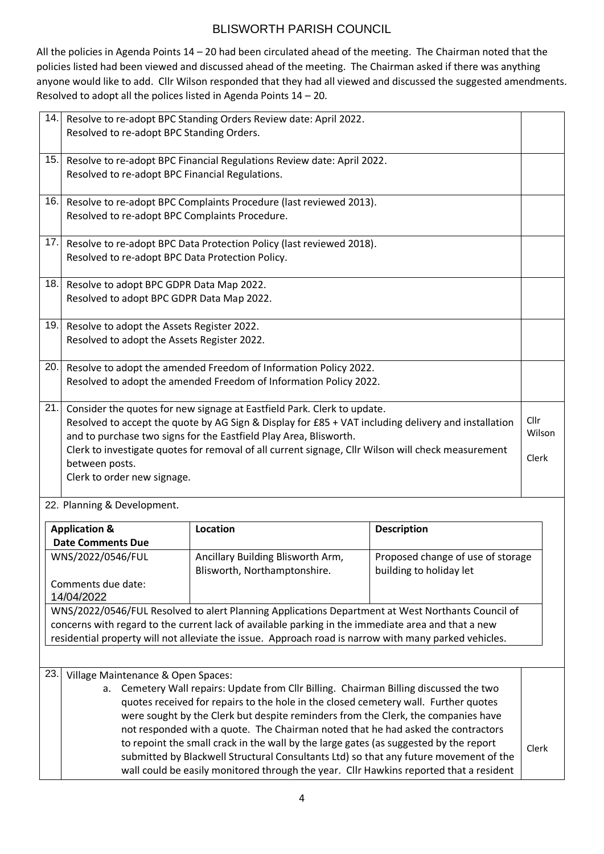All the policies in Agenda Points 14 – 20 had been circulated ahead of the meeting. The Chairman noted that the policies listed had been viewed and discussed ahead of the meeting. The Chairman asked if there was anything anyone would like to add. Cllr Wilson responded that they had all viewed and discussed the suggested amendments. Resolved to adopt all the polices listed in Agenda Points 14 – 20.

| 14. | Resolved to re-adopt BPC Standing Orders.                                                                                                                                                                                                                                                                                                                                                                  | Resolve to re-adopt BPC Standing Orders Review date: April 2022.       |  |                         |  |  |
|-----|------------------------------------------------------------------------------------------------------------------------------------------------------------------------------------------------------------------------------------------------------------------------------------------------------------------------------------------------------------------------------------------------------------|------------------------------------------------------------------------|--|-------------------------|--|--|
| 15. | Resolved to re-adopt BPC Financial Regulations.                                                                                                                                                                                                                                                                                                                                                            | Resolve to re-adopt BPC Financial Regulations Review date: April 2022. |  |                         |  |  |
| 16. | Resolved to re-adopt BPC Complaints Procedure.                                                                                                                                                                                                                                                                                                                                                             | Resolve to re-adopt BPC Complaints Procedure (last reviewed 2013).     |  |                         |  |  |
| 17. | Resolved to re-adopt BPC Data Protection Policy.                                                                                                                                                                                                                                                                                                                                                           | Resolve to re-adopt BPC Data Protection Policy (last reviewed 2018).   |  |                         |  |  |
| 18. | Resolve to adopt BPC GDPR Data Map 2022.<br>Resolved to adopt BPC GDPR Data Map 2022.                                                                                                                                                                                                                                                                                                                      |                                                                        |  |                         |  |  |
| 19. | Resolve to adopt the Assets Register 2022.<br>Resolved to adopt the Assets Register 2022.                                                                                                                                                                                                                                                                                                                  |                                                                        |  |                         |  |  |
| 20. | Resolve to adopt the amended Freedom of Information Policy 2022.<br>Resolved to adopt the amended Freedom of Information Policy 2022.                                                                                                                                                                                                                                                                      |                                                                        |  |                         |  |  |
| 21. | Consider the quotes for new signage at Eastfield Park. Clerk to update.<br>Resolved to accept the quote by AG Sign & Display for £85 + VAT including delivery and installation<br>and to purchase two signs for the Eastfield Play Area, Blisworth.<br>Clerk to investigate quotes for removal of all current signage, Cllr Wilson will check measurement<br>between posts.<br>Clerk to order new signage. |                                                                        |  | Cllr<br>Wilson<br>Clerk |  |  |
|     | 22. Planning & Development.                                                                                                                                                                                                                                                                                                                                                                                |                                                                        |  |                         |  |  |
|     | <b>Application &amp;</b><br><b>Date Comments Due</b>                                                                                                                                                                                                                                                                                                                                                       | <b>Location</b>                                                        |  | <b>Description</b>      |  |  |

| Application &                                                                             | LOCALION                                                                                              | Description                       |       |  |
|-------------------------------------------------------------------------------------------|-------------------------------------------------------------------------------------------------------|-----------------------------------|-------|--|
| <b>Date Comments Due</b>                                                                  |                                                                                                       |                                   |       |  |
| WNS/2022/0546/FUL                                                                         | Ancillary Building Blisworth Arm,                                                                     | Proposed change of use of storage |       |  |
|                                                                                           | Blisworth, Northamptonshire.                                                                          | building to holiday let           |       |  |
| Comments due date:                                                                        |                                                                                                       |                                   |       |  |
| 14/04/2022                                                                                |                                                                                                       |                                   |       |  |
|                                                                                           | WNS/2022/0546/FUL Resolved to alert Planning Applications Department at West Northants Council of     |                                   |       |  |
|                                                                                           | concerns with regard to the current lack of available parking in the immediate area and that a new    |                                   |       |  |
|                                                                                           | residential property will not alleviate the issue. Approach road is narrow with many parked vehicles. |                                   |       |  |
|                                                                                           |                                                                                                       |                                   |       |  |
|                                                                                           |                                                                                                       |                                   |       |  |
| 23.<br>Village Maintenance & Open Spaces:                                                 |                                                                                                       |                                   |       |  |
| Cemetery Wall repairs: Update from Cllr Billing. Chairman Billing discussed the two<br>a. |                                                                                                       |                                   |       |  |
| quotes received for repairs to the hole in the closed cemetery wall. Further quotes       |                                                                                                       |                                   |       |  |
| were sought by the Clerk but despite reminders from the Clerk, the companies have         |                                                                                                       |                                   |       |  |
| not responded with a quote. The Chairman noted that he had asked the contractors          |                                                                                                       |                                   |       |  |
|                                                                                           | to repoint the small crack in the wall by the large gates (as suggested by the report                 |                                   |       |  |
|                                                                                           | submitted by Blackwell Structural Consultants Ltd) so that any future movement of the                 |                                   | Clerk |  |
|                                                                                           | wall could be easily monitored through the year. Cllr Hawkins reported that a resident                |                                   |       |  |
|                                                                                           |                                                                                                       |                                   |       |  |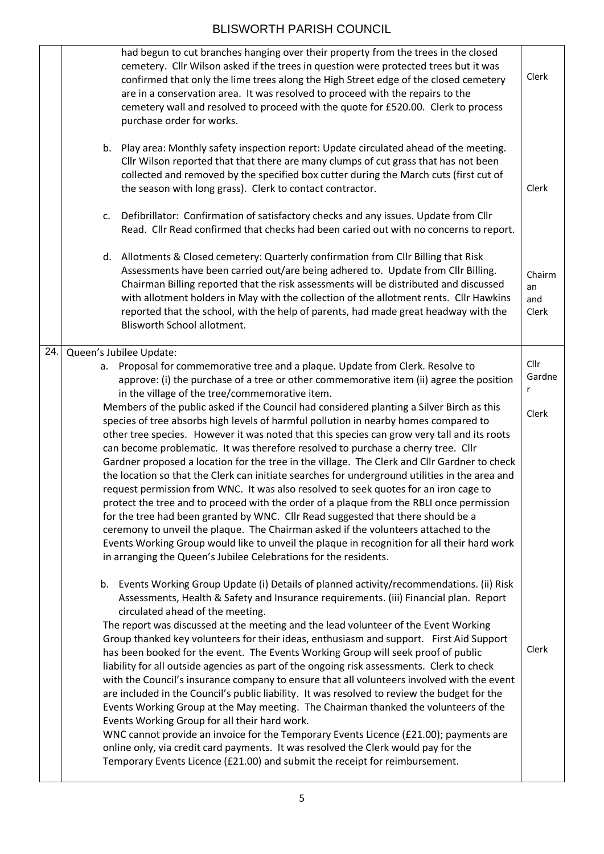|     | had begun to cut branches hanging over their property from the trees in the closed<br>cemetery. Cllr Wilson asked if the trees in question were protected trees but it was<br>confirmed that only the lime trees along the High Street edge of the closed cemetery<br>are in a conservation area. It was resolved to proceed with the repairs to the<br>cemetery wall and resolved to proceed with the quote for £520.00. Clerk to process<br>purchase order for works.                                                                                                                                                                                                                                                                                                                                                                                                                                                                                                                                                                                                                                                                                                                         | Clerk                        |
|-----|-------------------------------------------------------------------------------------------------------------------------------------------------------------------------------------------------------------------------------------------------------------------------------------------------------------------------------------------------------------------------------------------------------------------------------------------------------------------------------------------------------------------------------------------------------------------------------------------------------------------------------------------------------------------------------------------------------------------------------------------------------------------------------------------------------------------------------------------------------------------------------------------------------------------------------------------------------------------------------------------------------------------------------------------------------------------------------------------------------------------------------------------------------------------------------------------------|------------------------------|
|     | b. Play area: Monthly safety inspection report: Update circulated ahead of the meeting.<br>Cllr Wilson reported that that there are many clumps of cut grass that has not been<br>collected and removed by the specified box cutter during the March cuts (first cut of<br>the season with long grass). Clerk to contact contractor.                                                                                                                                                                                                                                                                                                                                                                                                                                                                                                                                                                                                                                                                                                                                                                                                                                                            | Clerk                        |
|     | Defibrillator: Confirmation of satisfactory checks and any issues. Update from Cllr<br>c.<br>Read. Cllr Read confirmed that checks had been caried out with no concerns to report.                                                                                                                                                                                                                                                                                                                                                                                                                                                                                                                                                                                                                                                                                                                                                                                                                                                                                                                                                                                                              |                              |
|     | d. Allotments & Closed cemetery: Quarterly confirmation from Cllr Billing that Risk<br>Assessments have been carried out/are being adhered to. Update from Cllr Billing.<br>Chairman Billing reported that the risk assessments will be distributed and discussed<br>with allotment holders in May with the collection of the allotment rents. Cllr Hawkins<br>reported that the school, with the help of parents, had made great headway with the<br>Blisworth School allotment.                                                                                                                                                                                                                                                                                                                                                                                                                                                                                                                                                                                                                                                                                                               | Chairm<br>an<br>and<br>Clerk |
| 24. | Queen's Jubilee Update:                                                                                                                                                                                                                                                                                                                                                                                                                                                                                                                                                                                                                                                                                                                                                                                                                                                                                                                                                                                                                                                                                                                                                                         |                              |
|     | a. Proposal for commemorative tree and a plaque. Update from Clerk. Resolve to<br>approve: (i) the purchase of a tree or other commemorative item (ii) agree the position                                                                                                                                                                                                                                                                                                                                                                                                                                                                                                                                                                                                                                                                                                                                                                                                                                                                                                                                                                                                                       | Cllr<br>Gardne<br>r          |
|     | in the village of the tree/commemorative item.<br>Members of the public asked if the Council had considered planting a Silver Birch as this<br>species of tree absorbs high levels of harmful pollution in nearby homes compared to<br>other tree species. However it was noted that this species can grow very tall and its roots<br>can become problematic. It was therefore resolved to purchase a cherry tree. Cllr<br>Gardner proposed a location for the tree in the village. The Clerk and Cllr Gardner to check<br>the location so that the Clerk can initiate searches for underground utilities in the area and<br>request permission from WNC. It was also resolved to seek quotes for an iron cage to<br>protect the tree and to proceed with the order of a plaque from the RBLI once permission<br>for the tree had been granted by WNC. Cllr Read suggested that there should be a<br>ceremony to unveil the plaque. The Chairman asked if the volunteers attached to the<br>Events Working Group would like to unveil the plaque in recognition for all their hard work<br>in arranging the Queen's Jubilee Celebrations for the residents.                                     | Clerk                        |
|     | b. Events Working Group Update (i) Details of planned activity/recommendations. (ii) Risk<br>Assessments, Health & Safety and Insurance requirements. (iii) Financial plan. Report<br>circulated ahead of the meeting.<br>The report was discussed at the meeting and the lead volunteer of the Event Working<br>Group thanked key volunteers for their ideas, enthusiasm and support. First Aid Support<br>has been booked for the event. The Events Working Group will seek proof of public<br>liability for all outside agencies as part of the ongoing risk assessments. Clerk to check<br>with the Council's insurance company to ensure that all volunteers involved with the event<br>are included in the Council's public liability. It was resolved to review the budget for the<br>Events Working Group at the May meeting. The Chairman thanked the volunteers of the<br>Events Working Group for all their hard work.<br>WNC cannot provide an invoice for the Temporary Events Licence (£21.00); payments are<br>online only, via credit card payments. It was resolved the Clerk would pay for the<br>Temporary Events Licence (£21.00) and submit the receipt for reimbursement. | Clerk                        |